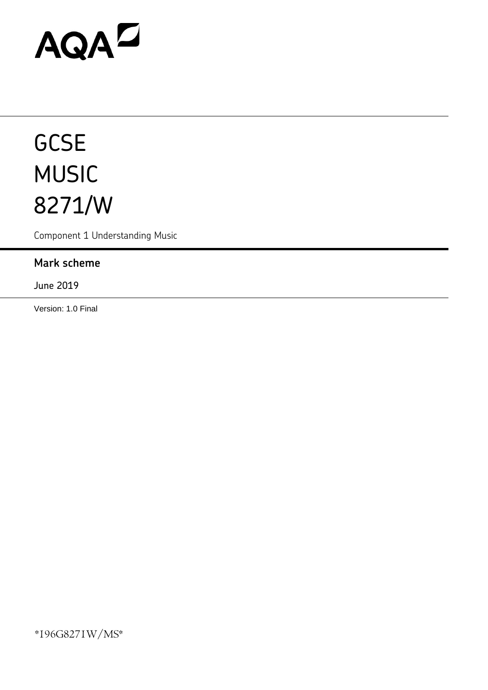# AQAD

# **GCSE** MUSIC 8271/W

Component 1 Understanding Music

## **Mark scheme**

June 2019

Version: 1.0 Final

\*196G8271W/MS\*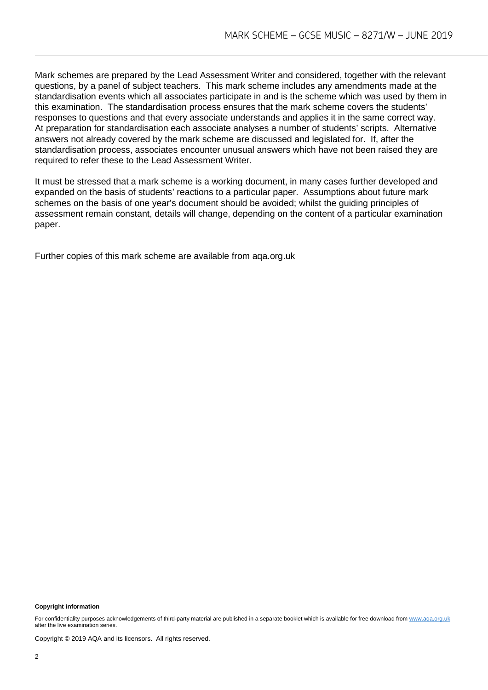Mark schemes are prepared by the Lead Assessment Writer and considered, together with the relevant questions, by a panel of subject teachers. This mark scheme includes any amendments made at the standardisation events which all associates participate in and is the scheme which was used by them in this examination. The standardisation process ensures that the mark scheme covers the students' responses to questions and that every associate understands and applies it in the same correct way. At preparation for standardisation each associate analyses a number of students' scripts. Alternative answers not already covered by the mark scheme are discussed and legislated for. If, after the standardisation process, associates encounter unusual answers which have not been raised they are required to refer these to the Lead Assessment Writer.

It must be stressed that a mark scheme is a working document, in many cases further developed and expanded on the basis of students' reactions to a particular paper. Assumptions about future mark schemes on the basis of one year's document should be avoided; whilst the guiding principles of assessment remain constant, details will change, depending on the content of a particular examination paper.

Further copies of this mark scheme are available from aqa.org.uk

#### **Copyright information**

For confidentiality purposes acknowledgements of third-party material are published in a separate booklet which is available for free download fro[m www.aqa.org.uk](http://www.aqa.org.uk/) after the live examination series.

Copyright © 2019 AQA and its licensors. All rights reserved.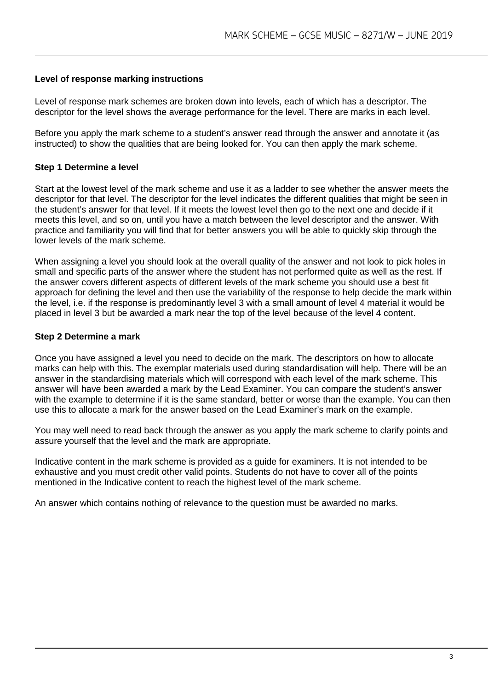#### **Level of response marking instructions**

Level of response mark schemes are broken down into levels, each of which has a descriptor. The descriptor for the level shows the average performance for the level. There are marks in each level.

Before you apply the mark scheme to a student's answer read through the answer and annotate it (as instructed) to show the qualities that are being looked for. You can then apply the mark scheme.

#### **Step 1 Determine a level**

Start at the lowest level of the mark scheme and use it as a ladder to see whether the answer meets the descriptor for that level. The descriptor for the level indicates the different qualities that might be seen in the student's answer for that level. If it meets the lowest level then go to the next one and decide if it meets this level, and so on, until you have a match between the level descriptor and the answer. With practice and familiarity you will find that for better answers you will be able to quickly skip through the lower levels of the mark scheme.

When assigning a level you should look at the overall quality of the answer and not look to pick holes in small and specific parts of the answer where the student has not performed quite as well as the rest. If the answer covers different aspects of different levels of the mark scheme you should use a best fit approach for defining the level and then use the variability of the response to help decide the mark within the level, i.e. if the response is predominantly level 3 with a small amount of level 4 material it would be placed in level 3 but be awarded a mark near the top of the level because of the level 4 content.

#### **Step 2 Determine a mark**

Once you have assigned a level you need to decide on the mark. The descriptors on how to allocate marks can help with this. The exemplar materials used during standardisation will help. There will be an answer in the standardising materials which will correspond with each level of the mark scheme. This answer will have been awarded a mark by the Lead Examiner. You can compare the student's answer with the example to determine if it is the same standard, better or worse than the example. You can then use this to allocate a mark for the answer based on the Lead Examiner's mark on the example.

You may well need to read back through the answer as you apply the mark scheme to clarify points and assure yourself that the level and the mark are appropriate.

Indicative content in the mark scheme is provided as a guide for examiners. It is not intended to be exhaustive and you must credit other valid points. Students do not have to cover all of the points mentioned in the Indicative content to reach the highest level of the mark scheme.

An answer which contains nothing of relevance to the question must be awarded no marks.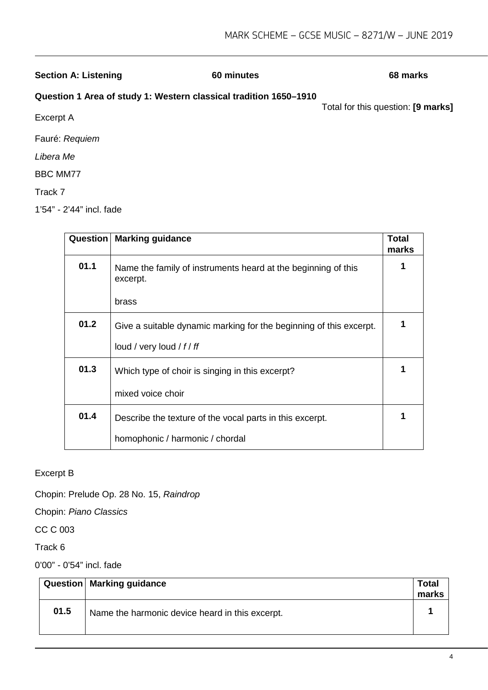#### **Section A: Listening 60 minutes 68 marks**

#### **Question 1 Area of study 1: Western classical tradition 1650–1910**

Total for this question: **[9 marks]**

Excerpt A

Fauré: *Requiem*

*Libera Me*

BBC MM77

Track 7

1'54" - 2'44" incl. fade

| Question | <b>Marking guidance</b>                                                   | <b>Total</b><br>marks |
|----------|---------------------------------------------------------------------------|-----------------------|
| 01.1     | Name the family of instruments heard at the beginning of this<br>excerpt. |                       |
|          | brass                                                                     |                       |
| 01.2     | Give a suitable dynamic marking for the beginning of this excerpt.        |                       |
|          | loud / very loud / $f$ / $f$                                              |                       |
| 01.3     | Which type of choir is singing in this excerpt?                           |                       |
|          | mixed voice choir                                                         |                       |
| 01.4     | Describe the texture of the vocal parts in this excerpt.                  |                       |
|          | homophonic / harmonic / chordal                                           |                       |

Excerpt B

Chopin: Prelude Op. 28 No. 15, *Raindrop*

Chopin: *Piano Classics*

CC C 003

Track 6

0'00" - 0'54" incl. fade

|      | Question   Marking guidance                     | <b>Total</b><br>marks |
|------|-------------------------------------------------|-----------------------|
| 01.5 | Name the harmonic device heard in this excerpt. |                       |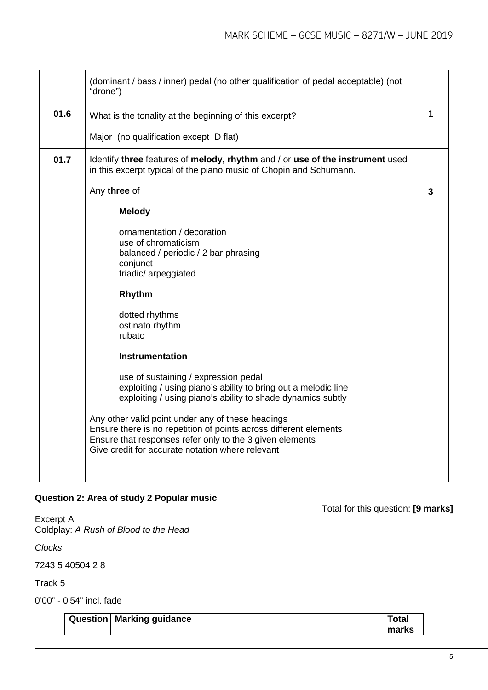|      | (dominant / bass / inner) pedal (no other qualification of pedal acceptable) (not<br>"drone")                                                                                                                                          |   |
|------|----------------------------------------------------------------------------------------------------------------------------------------------------------------------------------------------------------------------------------------|---|
| 01.6 | What is the tonality at the beginning of this excerpt?                                                                                                                                                                                 | 1 |
|      | Major (no qualification except D flat)                                                                                                                                                                                                 |   |
| 01.7 | Identify three features of melody, rhythm and / or use of the instrument used<br>in this excerpt typical of the piano music of Chopin and Schumann.                                                                                    |   |
|      | Any three of                                                                                                                                                                                                                           | 3 |
|      | <b>Melody</b>                                                                                                                                                                                                                          |   |
|      | ornamentation / decoration<br>use of chromaticism                                                                                                                                                                                      |   |
|      | balanced / periodic / 2 bar phrasing                                                                                                                                                                                                   |   |
|      | conjunct<br>triadic/ arpeggiated                                                                                                                                                                                                       |   |
|      | <b>Rhythm</b>                                                                                                                                                                                                                          |   |
|      | dotted rhythms                                                                                                                                                                                                                         |   |
|      | ostinato rhythm<br>rubato                                                                                                                                                                                                              |   |
|      | <b>Instrumentation</b>                                                                                                                                                                                                                 |   |
|      | use of sustaining / expression pedal<br>exploiting / using piano's ability to bring out a melodic line<br>exploiting / using piano's ability to shade dynamics subtly                                                                  |   |
|      | Any other valid point under any of these headings<br>Ensure there is no repetition of points across different elements<br>Ensure that responses refer only to the 3 given elements<br>Give credit for accurate notation where relevant |   |
|      |                                                                                                                                                                                                                                        |   |

#### **Question 2: Area of study 2 Popular music**

Excerpt A Coldplay: *A Rush of Blood to the Head*

*Clocks*

7243 5 40504 2 8

Track 5

0'00" - 0'54" incl. fade

| Question   Marking guidance | Total |
|-----------------------------|-------|
|                             | marks |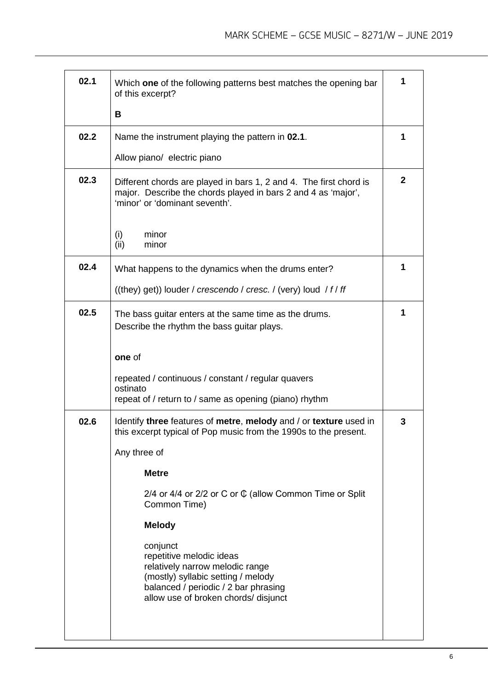| 02.1 | Which one of the following patterns best matches the opening bar<br>of this excerpt?                                                                                                          | 1            |
|------|-----------------------------------------------------------------------------------------------------------------------------------------------------------------------------------------------|--------------|
|      | В                                                                                                                                                                                             |              |
| 02.2 | Name the instrument playing the pattern in 02.1.                                                                                                                                              | 1            |
|      | Allow piano/ electric piano                                                                                                                                                                   |              |
| 02.3 | Different chords are played in bars 1, 2 and 4. The first chord is<br>major. Describe the chords played in bars 2 and 4 as 'major',<br>'minor' or 'dominant seventh'.                         | $\mathbf{2}$ |
|      | (i)<br>minor<br>(ii)<br>minor                                                                                                                                                                 |              |
| 02.4 | What happens to the dynamics when the drums enter?                                                                                                                                            | 1            |
|      | ((they) get)) louder / crescendo / cresc. / (very) loud / f/ ff                                                                                                                               |              |
| 02.5 | The bass guitar enters at the same time as the drums.<br>Describe the rhythm the bass guitar plays.                                                                                           | 1            |
|      | one of                                                                                                                                                                                        |              |
|      | repeated / continuous / constant / regular quavers<br>ostinato<br>repeat of / return to / same as opening (piano) rhythm                                                                      |              |
| 02.6 | Identify three features of metre, melody and / or texture used in<br>this excerpt typical of Pop music from the 1990s to the present.                                                         | 3            |
|      | Any three of                                                                                                                                                                                  |              |
|      | <b>Metre</b>                                                                                                                                                                                  |              |
|      | 2/4 or 4/4 or 2/2 or C or $\mathbb G$ (allow Common Time or Split<br>Common Time)                                                                                                             |              |
|      | <b>Melody</b>                                                                                                                                                                                 |              |
|      | conjunct<br>repetitive melodic ideas<br>relatively narrow melodic range<br>(mostly) syllabic setting / melody<br>balanced / periodic / 2 bar phrasing<br>allow use of broken chords/ disjunct |              |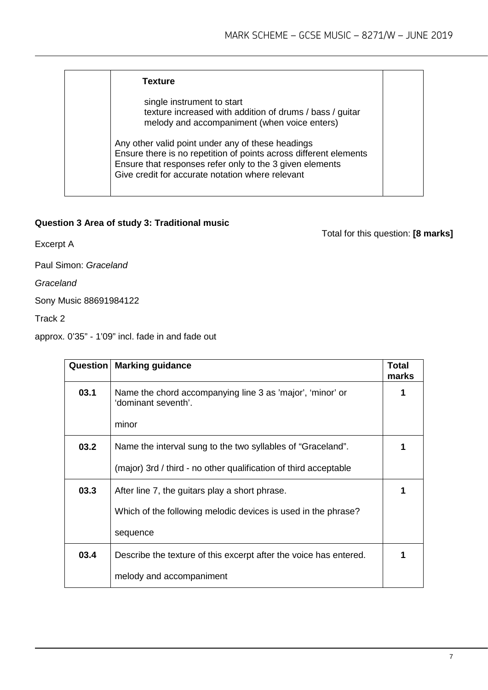| <b>Texture</b>                                                                                                                                                                                                                         |  |
|----------------------------------------------------------------------------------------------------------------------------------------------------------------------------------------------------------------------------------------|--|
| single instrument to start<br>texture increased with addition of drums / bass / guitar<br>melody and accompaniment (when voice enters)                                                                                                 |  |
| Any other valid point under any of these headings<br>Ensure there is no repetition of points across different elements<br>Ensure that responses refer only to the 3 given elements<br>Give credit for accurate notation where relevant |  |

#### **Question 3 Area of study 3: Traditional music**

Total for this question: **[8 marks]**

Excerpt A

Paul Simon: *Graceland*

*Graceland*

Sony Music 88691984122

Track 2

approx. 0'35" - 1'09" incl. fade in and fade out

| Question | <b>Marking guidance</b>                                                          | Total<br>marks |
|----------|----------------------------------------------------------------------------------|----------------|
| 03.1     | Name the chord accompanying line 3 as 'major', 'minor' or<br>'dominant seventh'. |                |
|          | minor                                                                            |                |
| 03.2     | Name the interval sung to the two syllables of "Graceland".                      |                |
|          | (major) 3rd / third - no other qualification of third acceptable                 |                |
| 03.3     | After line 7, the guitars play a short phrase.                                   |                |
|          | Which of the following melodic devices is used in the phrase?                    |                |
|          | sequence                                                                         |                |
| 03.4     | Describe the texture of this excerpt after the voice has entered.                | 1              |
|          | melody and accompaniment                                                         |                |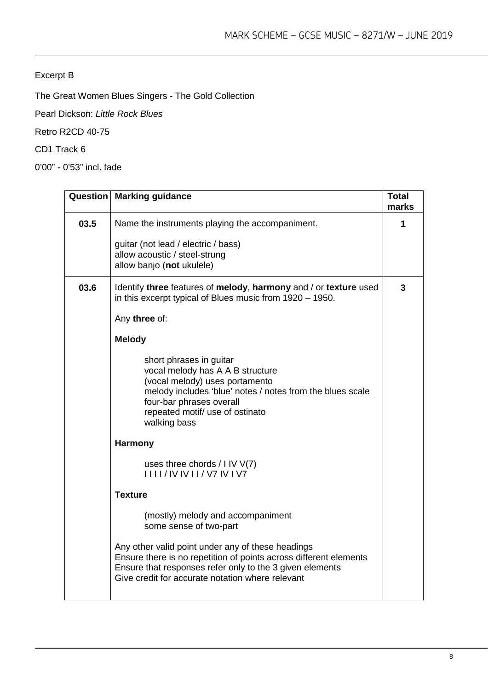#### Excerpt B

The Great Women Blues Singers - The Gold Collection

Pearl Dickson: *Little Rock Blues*

Retro R2CD 40-75

CD1 Track 6

0'00" - 0'53" incl. fade

|      | <b>Question   Marking guidance</b>                                                                                                                                                                                                        | <b>Total</b><br>marks |
|------|-------------------------------------------------------------------------------------------------------------------------------------------------------------------------------------------------------------------------------------------|-----------------------|
| 03.5 | Name the instruments playing the accompaniment.                                                                                                                                                                                           | 1                     |
|      | guitar (not lead / electric / bass)<br>allow acoustic / steel-strung<br>allow banjo (not ukulele)                                                                                                                                         |                       |
| 03.6 | Identify three features of melody, harmony and / or texture used<br>in this excerpt typical of Blues music from 1920 - 1950.                                                                                                              | 3                     |
|      | Any three of:                                                                                                                                                                                                                             |                       |
|      | <b>Melody</b>                                                                                                                                                                                                                             |                       |
|      | short phrases in guitar<br>vocal melody has A A B structure<br>(vocal melody) uses portamento<br>melody includes 'blue' notes / notes from the blues scale<br>four-bar phrases overall<br>repeated motif/ use of ostinato<br>walking bass |                       |
|      | Harmony                                                                                                                                                                                                                                   |                       |
|      | uses three chords $/$ I IV $V(7)$<br>1111/1V1V11/1V71V1V7                                                                                                                                                                                 |                       |
|      | <b>Texture</b>                                                                                                                                                                                                                            |                       |
|      | (mostly) melody and accompaniment<br>some sense of two-part                                                                                                                                                                               |                       |
|      | Any other valid point under any of these headings<br>Ensure there is no repetition of points across different elements<br>Ensure that responses refer only to the 3 given elements<br>Give credit for accurate notation where relevant    |                       |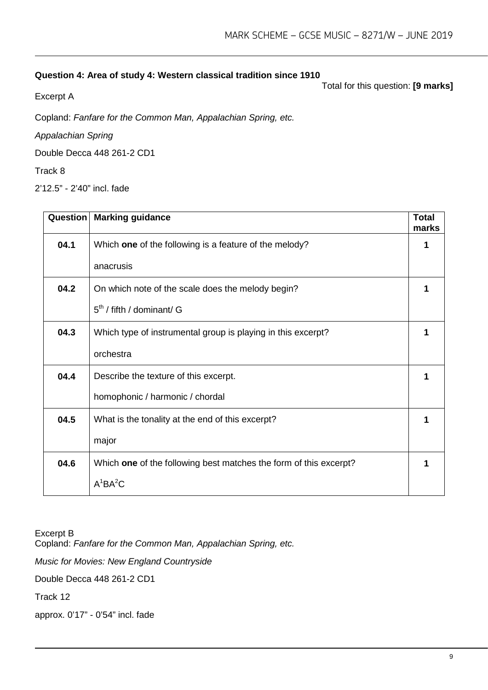#### **Question 4: Area of study 4: Western classical tradition since 1910**

Excerpt A

Total for this question: **[9 marks]**

Copland: *Fanfare for the Common Man, Appalachian Spring, etc.*

*Appalachian Spring*

Double Decca 448 261-2 CD1

Track 8

2'12.5" - 2'40" incl. fade

| Question | <b>Marking guidance</b>                                           | <b>Total</b><br>marks |
|----------|-------------------------------------------------------------------|-----------------------|
| 04.1     | Which one of the following is a feature of the melody?            |                       |
|          | anacrusis                                                         |                       |
| 04.2     | On which note of the scale does the melody begin?                 |                       |
|          | $5th$ / fifth / dominant/ G                                       |                       |
| 04.3     | Which type of instrumental group is playing in this excerpt?      | 1                     |
|          | orchestra                                                         |                       |
| 04.4     | Describe the texture of this excerpt.                             | 1                     |
|          | homophonic / harmonic / chordal                                   |                       |
| 04.5     | What is the tonality at the end of this excerpt?                  |                       |
|          | major                                                             |                       |
| 04.6     | Which one of the following best matches the form of this excerpt? |                       |
|          | $A^1BA^2C$                                                        |                       |

Excerpt B

Copland: *Fanfare for the Common Man, Appalachian Spring, etc.*

*Music for Movies: New England Countryside*

Double Decca 448 261-2 CD1

Track 12

approx. 0'17" - 0'54" incl. fade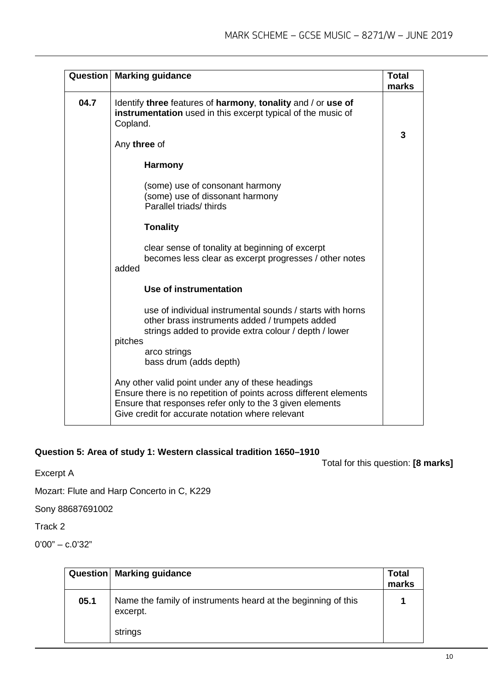|      | Question   Marking guidance                                                                                                                                                                                                            | <b>Total</b><br>marks |
|------|----------------------------------------------------------------------------------------------------------------------------------------------------------------------------------------------------------------------------------------|-----------------------|
| 04.7 | Identify three features of harmony, tonality and / or use of<br>instrumentation used in this excerpt typical of the music of<br>Copland.<br>Any three of                                                                               | 3                     |
|      | <b>Harmony</b>                                                                                                                                                                                                                         |                       |
|      | (some) use of consonant harmony<br>(some) use of dissonant harmony<br>Parallel triads/thirds                                                                                                                                           |                       |
|      | <b>Tonality</b>                                                                                                                                                                                                                        |                       |
|      | clear sense of tonality at beginning of excerpt<br>becomes less clear as excerpt progresses / other notes<br>added                                                                                                                     |                       |
|      | Use of instrumentation                                                                                                                                                                                                                 |                       |
|      | use of individual instrumental sounds / starts with horns<br>other brass instruments added / trumpets added<br>strings added to provide extra colour / depth / lower<br>pitches                                                        |                       |
|      | arco strings<br>bass drum (adds depth)                                                                                                                                                                                                 |                       |
|      | Any other valid point under any of these headings<br>Ensure there is no repetition of points across different elements<br>Ensure that responses refer only to the 3 given elements<br>Give credit for accurate notation where relevant |                       |

#### **Question 5: Area of study 1: Western classical tradition 1650–1910**

Total for this question: **[8 marks]**

Excerpt A

Mozart: Flute and Harp Concerto in C, K229

Sony 88687691002

Track 2

0'00" – c.0'32"

|      | Question   Marking guidance                                               | <b>Total</b><br>marks |
|------|---------------------------------------------------------------------------|-----------------------|
| 05.1 | Name the family of instruments heard at the beginning of this<br>excerpt. |                       |
|      | strings                                                                   |                       |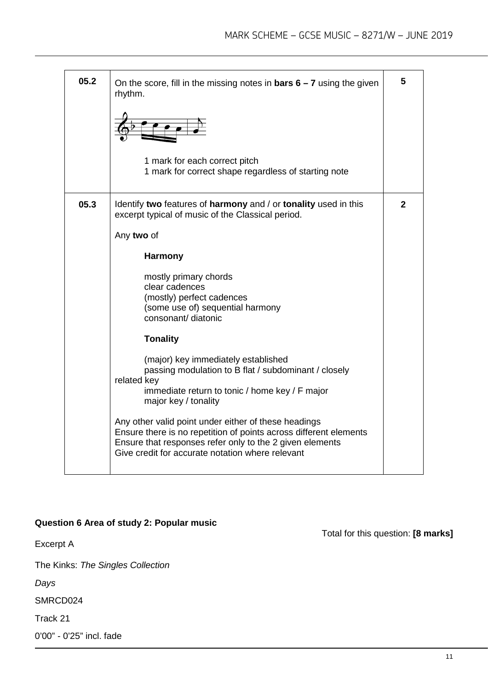| 05.2 | On the score, fill in the missing notes in <b>bars <math>6 - 7</math></b> using the given<br>rhythm.                                                                                                                                      | 5            |
|------|-------------------------------------------------------------------------------------------------------------------------------------------------------------------------------------------------------------------------------------------|--------------|
|      |                                                                                                                                                                                                                                           |              |
|      | 1 mark for each correct pitch<br>1 mark for correct shape regardless of starting note                                                                                                                                                     |              |
| 05.3 | Identify two features of harmony and / or tonality used in this<br>excerpt typical of music of the Classical period.                                                                                                                      | $\mathbf{2}$ |
|      | Any two of                                                                                                                                                                                                                                |              |
|      | <b>Harmony</b>                                                                                                                                                                                                                            |              |
|      | mostly primary chords<br>clear cadences<br>(mostly) perfect cadences<br>(some use of) sequential harmony<br>consonant/ diatonic                                                                                                           |              |
|      | <b>Tonality</b>                                                                                                                                                                                                                           |              |
|      | (major) key immediately established<br>passing modulation to B flat / subdominant / closely<br>related key<br>immediate return to tonic / home key / F major<br>major key / tonality                                                      |              |
|      | Any other valid point under either of these headings<br>Ensure there is no repetition of points across different elements<br>Ensure that responses refer only to the 2 given elements<br>Give credit for accurate notation where relevant |              |

#### **Question 6 Area of study 2: Popular music**

Excerpt A

The Kinks: *The Singles Collection*

*Days*

SMRCD024

Track 21

0'00" - 0'25" incl. fade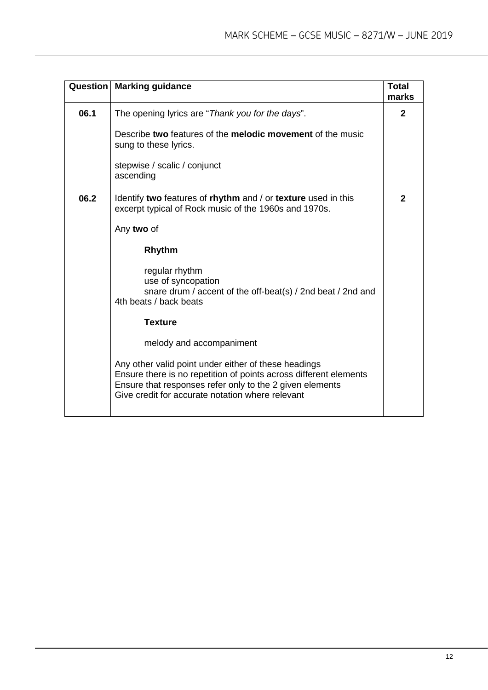|      | <b>Question   Marking guidance</b>                                                                                                                                                                                                        | <b>Total</b><br>marks |
|------|-------------------------------------------------------------------------------------------------------------------------------------------------------------------------------------------------------------------------------------------|-----------------------|
| 06.1 | The opening lyrics are "Thank you for the days".                                                                                                                                                                                          | $\mathbf{2}$          |
|      | Describe two features of the melodic movement of the music<br>sung to these lyrics.                                                                                                                                                       |                       |
|      | stepwise / scalic / conjunct<br>ascending                                                                                                                                                                                                 |                       |
| 06.2 | Identify two features of rhythm and / or texture used in this<br>excerpt typical of Rock music of the 1960s and 1970s.                                                                                                                    | $\mathbf{2}$          |
|      | Any two of                                                                                                                                                                                                                                |                       |
|      | Rhythm                                                                                                                                                                                                                                    |                       |
|      | regular rhythm<br>use of syncopation<br>snare drum / accent of the off-beat(s) / 2nd beat / 2nd and<br>4th beats / back beats                                                                                                             |                       |
|      | <b>Texture</b>                                                                                                                                                                                                                            |                       |
|      | melody and accompaniment                                                                                                                                                                                                                  |                       |
|      | Any other valid point under either of these headings<br>Ensure there is no repetition of points across different elements<br>Ensure that responses refer only to the 2 given elements<br>Give credit for accurate notation where relevant |                       |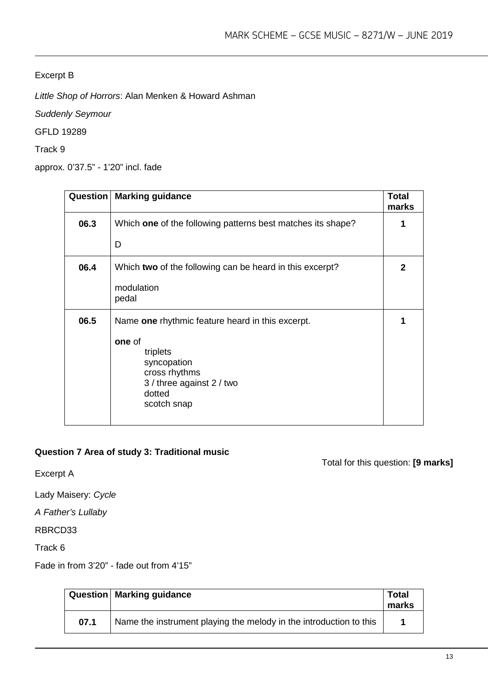#### Excerpt B

*Little Shop of Horrors*: Alan Menken & Howard Ashman

*Suddenly Seymour*

GFLD 19289

Track 9

approx. 0'37.5" - 1'20" incl. fade

| Question | <b>Marking guidance</b>                                                                                                                                      | <b>Total</b><br>marks |
|----------|--------------------------------------------------------------------------------------------------------------------------------------------------------------|-----------------------|
| 06.3     | Which one of the following patterns best matches its shape?                                                                                                  | 1                     |
|          | D                                                                                                                                                            |                       |
| 06.4     | Which two of the following can be heard in this excerpt?<br>modulation<br>pedal                                                                              | $\mathbf 2$           |
| 06.5     | Name one rhythmic feature heard in this excerpt.<br>one of<br>triplets<br>syncopation<br>cross rhythms<br>3 / three against 2 / two<br>dotted<br>scotch snap | 1                     |

#### **Question 7 Area of study 3: Traditional music**

Excerpt A

Lady Maisery: *Cycle*

*A Father's Lullaby*

RBRCD33

Track 6

Fade in from 3'20" - fade out from 4'15"

|      | Question   Marking guidance                                        | Total<br>marks |
|------|--------------------------------------------------------------------|----------------|
| 07.1 | Name the instrument playing the melody in the introduction to this |                |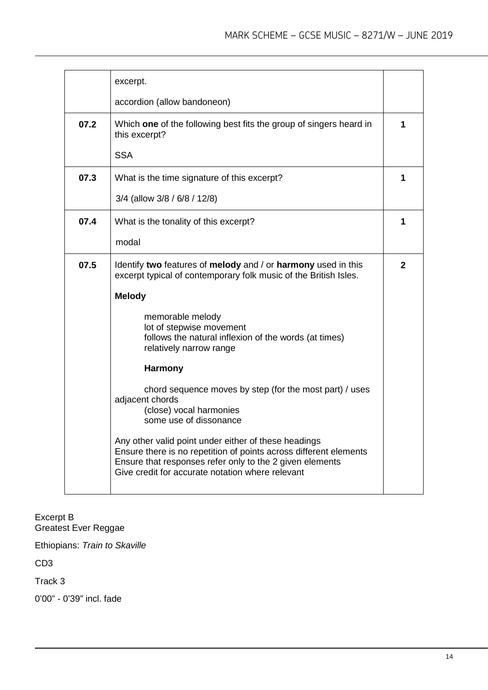|      | excerpt.                                                                                                                                                                                                                                  |              |
|------|-------------------------------------------------------------------------------------------------------------------------------------------------------------------------------------------------------------------------------------------|--------------|
|      | accordion (allow bandoneon)                                                                                                                                                                                                               |              |
| 07.2 | Which one of the following best fits the group of singers heard in<br>this excerpt?                                                                                                                                                       | 1            |
|      | <b>SSA</b>                                                                                                                                                                                                                                |              |
| 07.3 | What is the time signature of this excerpt?                                                                                                                                                                                               | 1            |
|      | 3/4 (allow 3/8 / 6/8 / 12/8)                                                                                                                                                                                                              |              |
| 07.4 | What is the tonality of this excerpt?                                                                                                                                                                                                     | 1            |
|      | modal                                                                                                                                                                                                                                     |              |
| 07.5 | Identify two features of melody and / or harmony used in this<br>excerpt typical of contemporary folk music of the British Isles.                                                                                                         | $\mathbf{2}$ |
|      | <b>Melody</b>                                                                                                                                                                                                                             |              |
|      | memorable melody<br>lot of stepwise movement<br>follows the natural inflexion of the words (at times)<br>relatively narrow range                                                                                                          |              |
|      | <b>Harmony</b>                                                                                                                                                                                                                            |              |
|      | chord sequence moves by step (for the most part) / uses<br>adjacent chords<br>(close) vocal harmonies<br>some use of dissonance                                                                                                           |              |
|      | Any other valid point under either of these headings<br>Ensure there is no repetition of points across different elements<br>Ensure that responses refer only to the 2 given elements<br>Give credit for accurate notation where relevant |              |

Excerpt B Greatest Ever Reggae

Ethiopians: *Train to Skaville*

CD3

Track 3

0'00" - 0'39" incl. fade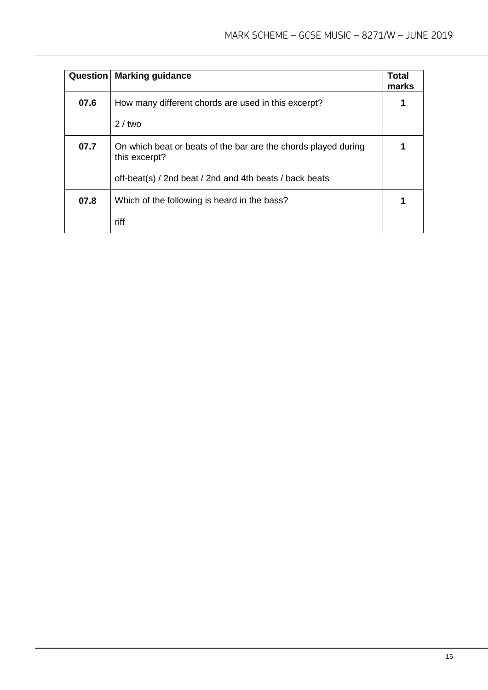| <b>Question</b> | <b>Marking guidance</b>                                                         | Total<br>marks |
|-----------------|---------------------------------------------------------------------------------|----------------|
| 07.6            | How many different chords are used in this excerpt?                             | 1              |
|                 | $2/$ two                                                                        |                |
| 07.7            | On which beat or beats of the bar are the chords played during<br>this excerpt? |                |
|                 | off-beat(s) / 2nd beat / 2nd and 4th beats / back beats                         |                |
| 07.8            | Which of the following is heard in the bass?                                    |                |
|                 | riff                                                                            |                |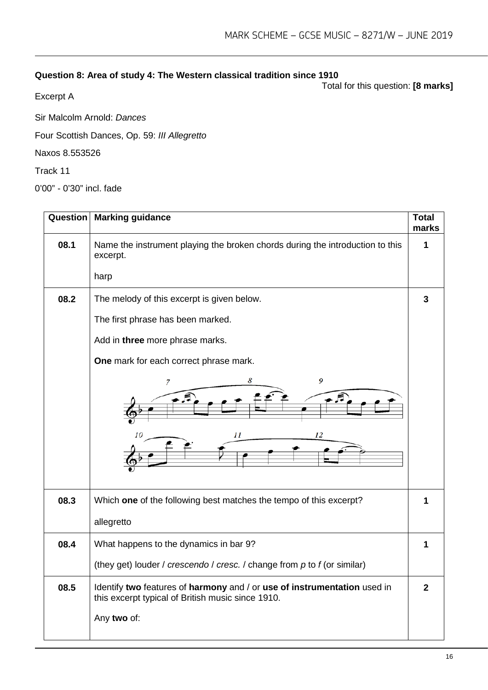### **Question 8: Area of study 4: The Western classical tradition since 1910**

Total for this question: **[8 marks]**

Excerpt A

Sir Malcolm Arnold: *Dances*

Four Scottish Dances, Op. 59: *III Allegretto*

Naxos 8.553526

Track 11

0'00" - 0'30" incl. fade

| Question | <b>Marking guidance</b>                                                                                                       | <b>Total</b><br>marks |
|----------|-------------------------------------------------------------------------------------------------------------------------------|-----------------------|
| 08.1     | Name the instrument playing the broken chords during the introduction to this<br>excerpt.                                     | 1                     |
|          | harp                                                                                                                          |                       |
| 08.2     | The melody of this excerpt is given below.                                                                                    | 3                     |
|          | The first phrase has been marked.                                                                                             |                       |
|          | Add in three more phrase marks.                                                                                               |                       |
|          | One mark for each correct phrase mark.                                                                                        |                       |
|          | 8<br>9<br>7<br>11<br>12                                                                                                       |                       |
| 08.3     | Which one of the following best matches the tempo of this excerpt?                                                            | 1                     |
|          | allegretto                                                                                                                    |                       |
| 08.4     | What happens to the dynamics in bar 9?                                                                                        | 1                     |
|          | (they get) louder / crescendo / cresc. / change from $p$ to $f$ (or similar)                                                  |                       |
| 08.5     | Identify two features of harmony and / or use of instrumentation used in<br>this excerpt typical of British music since 1910. | $\overline{2}$        |
|          | Any two of:                                                                                                                   |                       |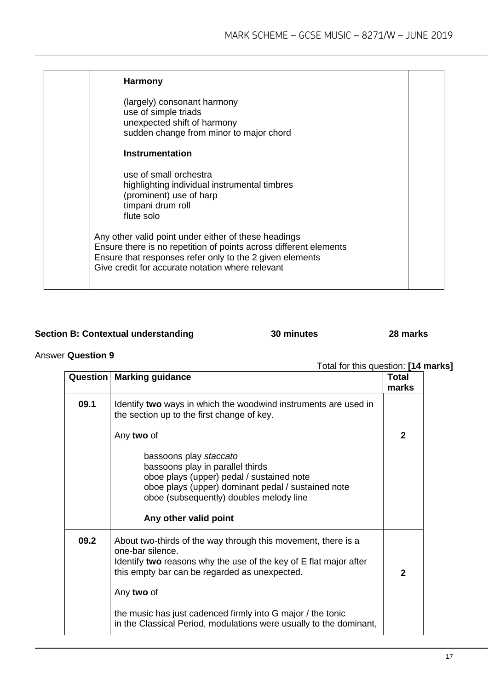| <b>Harmony</b>                                                                                                                                                                                                                            |  |
|-------------------------------------------------------------------------------------------------------------------------------------------------------------------------------------------------------------------------------------------|--|
| (largely) consonant harmony<br>use of simple triads<br>unexpected shift of harmony<br>sudden change from minor to major chord                                                                                                             |  |
| <b>Instrumentation</b>                                                                                                                                                                                                                    |  |
| use of small orchestra<br>highlighting individual instrumental timbres<br>(prominent) use of harp<br>timpani drum roll<br>flute solo                                                                                                      |  |
| Any other valid point under either of these headings<br>Ensure there is no repetition of points across different elements<br>Ensure that responses refer only to the 2 given elements<br>Give credit for accurate notation where relevant |  |

#### **Section B: Contextual understanding 30 minutes 28 marks**

#### Answer **Question 9**

|      | <b>Question   Marking guidance</b>                                                                                                                                                                                                | <b>Total</b><br>marks |
|------|-----------------------------------------------------------------------------------------------------------------------------------------------------------------------------------------------------------------------------------|-----------------------|
| 09.1 | Identify two ways in which the woodwind instruments are used in<br>the section up to the first change of key.                                                                                                                     |                       |
|      | Any two of                                                                                                                                                                                                                        | $\mathbf{2}$          |
|      | bassoons play staccato<br>bassoons play in parallel thirds<br>oboe plays (upper) pedal / sustained note<br>oboe plays (upper) dominant pedal / sustained note<br>oboe (subsequently) doubles melody line<br>Any other valid point |                       |
| 09.2 | About two-thirds of the way through this movement, there is a<br>one-bar silence.<br>Identify two reasons why the use of the key of E flat major after<br>this empty bar can be regarded as unexpected.<br>Any two of             | $\mathbf{2}$          |
|      | the music has just cadenced firmly into G major / the tonic<br>in the Classical Period, modulations were usually to the dominant,                                                                                                 |                       |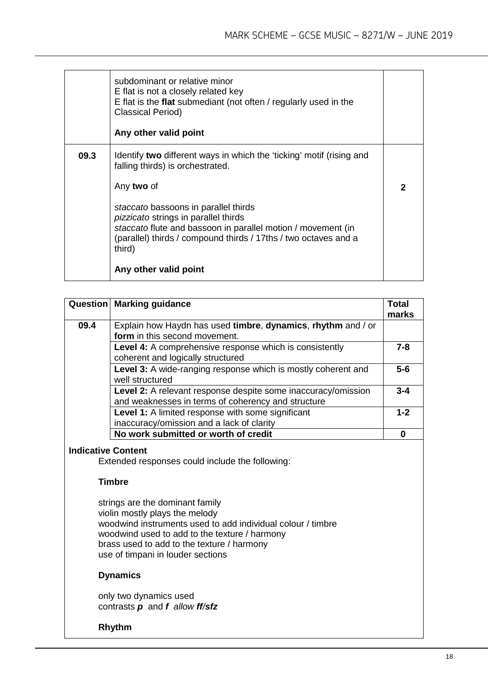|      | subdominant or relative minor<br>E flat is not a closely related key<br>E flat is the flat submediant (not often / regularly used in the<br><b>Classical Period)</b><br>Any other valid point                                                                                                                                                                                       |   |
|------|-------------------------------------------------------------------------------------------------------------------------------------------------------------------------------------------------------------------------------------------------------------------------------------------------------------------------------------------------------------------------------------|---|
| 09.3 | Identify two different ways in which the 'ticking' motif (rising and<br>falling thirds) is orchestrated.<br>Any two of<br>staccato bassoons in parallel thirds<br><i>pizzicato</i> strings in parallel thirds<br>staccato flute and bassoon in parallel motion / movement (in<br>(parallel) thirds / compound thirds / 17ths / two octaves and a<br>third)<br>Any other valid point | 2 |

|                           | <b>Question   Marking guidance</b>                                                                                         | <b>Total</b><br>marks |
|---------------------------|----------------------------------------------------------------------------------------------------------------------------|-----------------------|
| 09.4                      | Explain how Haydn has used timbre, dynamics, rhythm and / or<br>form in this second movement.                              |                       |
|                           | <b>Level 4:</b> A comprehensive response which is consistently<br>coherent and logically structured                        | $7 - 8$               |
|                           | Level 3: A wide-ranging response which is mostly coherent and<br>well structured                                           | $5-6$                 |
|                           | <b>Level 2:</b> A relevant response despite some inaccuracy/omission<br>and weaknesses in terms of coherency and structure | $3 - 4$               |
|                           | Level 1: A limited response with some significant<br>inaccuracy/omission and a lack of clarity                             | $1 - 2$               |
|                           | No work submitted or worth of credit                                                                                       | ŋ                     |
| <b>Indicative Content</b> |                                                                                                                            |                       |

Extended responses could include the following:

#### **Timbre**

strings are the dominant family violin mostly plays the melody woodwind instruments used to add individual colour / timbre woodwind used to add to the texture / harmony brass used to add to the texture / harmony use of timpani in louder sections

#### **Dynamics**

only two dynamics used contrasts *p* and *f allow ff/sfz*

#### **Rhythm**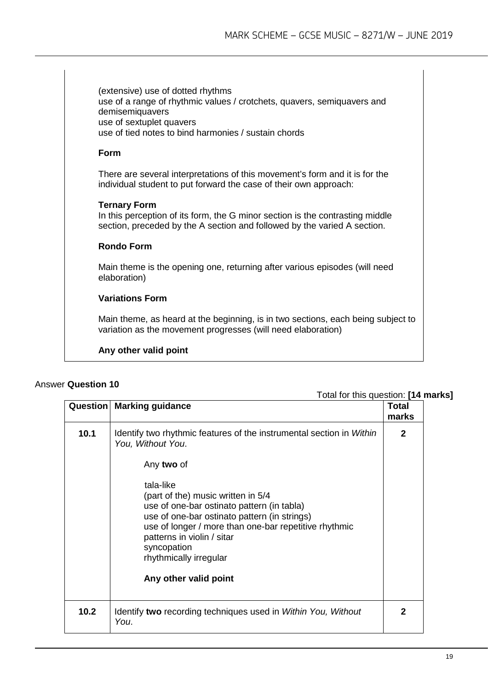(extensive) use of dotted rhythms use of a range of rhythmic values / crotchets, quavers, semiquavers and demisemiquavers use of sextuplet quavers use of tied notes to bind harmonies / sustain chords

#### **Form**

There are several interpretations of this movement's form and it is for the individual student to put forward the case of their own approach:

#### **Ternary Form**

In this perception of its form, the G minor section is the contrasting middle section, preceded by the A section and followed by the varied A section.

#### **Rondo Form**

Main theme is the opening one, returning after various episodes (will need elaboration)

#### **Variations Form**

Main theme, as heard at the beginning, is in two sections, each being subject to variation as the movement progresses (will need elaboration)

#### **Any other valid point**

#### Answer **Question 10**

|      | <b>TOTAL TOL THIS QUESTION. 114 II</b><br><b>Question   Marking guidance</b>                                                                                                                                                                                                                                                                                                                                      | <b>Total</b><br>marks |
|------|-------------------------------------------------------------------------------------------------------------------------------------------------------------------------------------------------------------------------------------------------------------------------------------------------------------------------------------------------------------------------------------------------------------------|-----------------------|
| 10.1 | Identify two rhythmic features of the instrumental section in Within<br>You, Without You.<br>Any two of<br>tala-like<br>(part of the) music written in 5/4<br>use of one-bar ostinato pattern (in tabla)<br>use of one-bar ostinato pattern (in strings)<br>use of longer / more than one-bar repetitive rhythmic<br>patterns in violin / sitar<br>syncopation<br>rhythmically irregular<br>Any other valid point | $\mathbf{2}$          |
| 10.2 | Identify two recording techniques used in Within You, Without<br>You.                                                                                                                                                                                                                                                                                                                                             | $\mathbf{2}$          |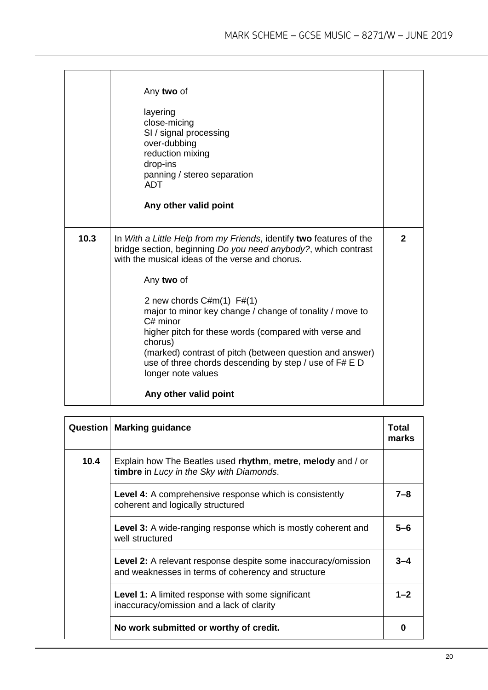| Any two of<br>layering<br>close-micing<br>SI / signal processing<br>over-dubbing<br>reduction mixing<br>drop-ins<br>panning / stereo separation<br><b>ADT</b><br>Any other valid point                                                                                                                                                                                                                                                                                                                                          |                       |
|---------------------------------------------------------------------------------------------------------------------------------------------------------------------------------------------------------------------------------------------------------------------------------------------------------------------------------------------------------------------------------------------------------------------------------------------------------------------------------------------------------------------------------|-----------------------|
| In With a Little Help from my Friends, identify two features of the<br>bridge section, beginning Do you need anybody?, which contrast<br>with the musical ideas of the verse and chorus.<br>Any two of<br>2 new chords $C#m(1)$ F#(1)<br>major to minor key change / change of tonality / move to<br>$C#$ minor<br>higher pitch for these words (compared with verse and<br>chorus)<br>(marked) contrast of pitch (between question and answer)<br>use of three chords descending by step / use of F# E D<br>longer note values | $\mathbf{2}$          |
|                                                                                                                                                                                                                                                                                                                                                                                                                                                                                                                                 | Any other valid point |

| Question | <b>Marking guidance</b>                                                                                                    | Total<br>marks |
|----------|----------------------------------------------------------------------------------------------------------------------------|----------------|
| 10.4     | Explain how The Beatles used rhythm, metre, melody and / or<br>timbre in Lucy in the Sky with Diamonds.                    |                |
|          | <b>Level 4:</b> A comprehensive response which is consistently<br>coherent and logically structured                        | 7–8            |
|          | Level 3: A wide-ranging response which is mostly coherent and<br>well structured                                           | $5 - 6$        |
|          | <b>Level 2:</b> A relevant response despite some inaccuracy/omission<br>and weaknesses in terms of coherency and structure | $3 - 4$        |
|          | <b>Level 1:</b> A limited response with some significant<br>inaccuracy/omission and a lack of clarity                      | $1 - 2$        |
|          | No work submitted or worthy of credit.                                                                                     | 0              |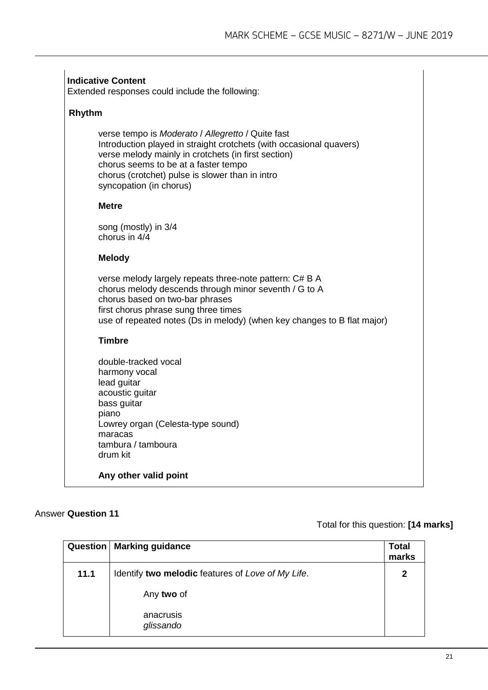|        | Extended responses could include the following:                                                                                                                                                                                                                                                       |
|--------|-------------------------------------------------------------------------------------------------------------------------------------------------------------------------------------------------------------------------------------------------------------------------------------------------------|
| Rhythm |                                                                                                                                                                                                                                                                                                       |
|        | verse tempo is Moderato / Allegretto / Quite fast<br>Introduction played in straight crotchets (with occasional quavers)<br>verse melody mainly in crotchets (in first section)<br>chorus seems to be at a faster tempo<br>chorus (crotchet) pulse is slower than in intro<br>syncopation (in chorus) |
|        | Metre                                                                                                                                                                                                                                                                                                 |
|        | song (mostly) in 3/4<br>chorus in 4/4                                                                                                                                                                                                                                                                 |
|        | <b>Melody</b>                                                                                                                                                                                                                                                                                         |
|        | verse melody largely repeats three-note pattern: C# B A<br>chorus melody descends through minor seventh / G to A<br>chorus based on two-bar phrases<br>first chorus phrase sung three times<br>use of repeated notes (Ds in melody) (when key changes to B flat major)                                |
|        | <b>Timbre</b>                                                                                                                                                                                                                                                                                         |
|        | double-tracked vocal<br>harmony vocal<br>lead guitar<br>acoustic guitar<br>bass guitar<br>piano<br>Lowrey organ (Celesta-type sound)<br>maracas<br>tambura / tamboura<br>drum kit                                                                                                                     |
|        | Any other valid point                                                                                                                                                                                                                                                                                 |
|        |                                                                                                                                                                                                                                                                                                       |

#### Answer **Question 11**

| Question | <b>Marking guidance</b>                           | <b>Total</b><br>marks |
|----------|---------------------------------------------------|-----------------------|
| 11.1     | Identify two melodic features of Love of My Life. | $\mathbf 2$           |
|          | Any two of                                        |                       |
|          | anacrusis<br>glissando                            |                       |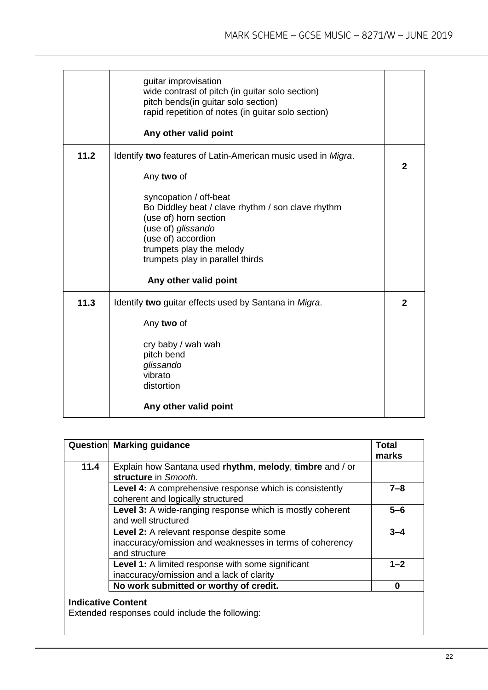|      | guitar improvisation<br>wide contrast of pitch (in guitar solo section)<br>pitch bends(in guitar solo section)<br>rapid repetition of notes (in guitar solo section)<br>Any other valid point                    |              |
|------|------------------------------------------------------------------------------------------------------------------------------------------------------------------------------------------------------------------|--------------|
|      |                                                                                                                                                                                                                  |              |
| 11.2 | Identify two features of Latin-American music used in Migra.                                                                                                                                                     |              |
|      | Any two of                                                                                                                                                                                                       | $\mathbf{2}$ |
|      | syncopation / off-beat<br>Bo Diddley beat / clave rhythm / son clave rhythm<br>(use of) horn section<br>(use of) glissando<br>(use of) accordion<br>trumpets play the melody<br>trumpets play in parallel thirds |              |
|      | Any other valid point                                                                                                                                                                                            |              |
| 11.3 | Identify two guitar effects used by Santana in Migra.                                                                                                                                                            | $\mathbf{2}$ |
|      | Any two of                                                                                                                                                                                                       |              |
|      | cry baby / wah wah<br>pitch bend                                                                                                                                                                                 |              |
|      | glissando                                                                                                                                                                                                        |              |
|      | vibrato                                                                                                                                                                                                          |              |
|      | distortion                                                                                                                                                                                                       |              |
|      | Any other valid point                                                                                                                                                                                            |              |

|                           | <b>Question Marking guidance</b>                                                                                       | <b>Total</b> |
|---------------------------|------------------------------------------------------------------------------------------------------------------------|--------------|
|                           |                                                                                                                        | marks        |
| 11.4                      | Explain how Santana used rhythm, melody, timbre and / or<br>structure in Smooth.                                       |              |
|                           | Level 4: A comprehensive response which is consistently<br>coherent and logically structured                           | $7 - 8$      |
|                           | Level 3: A wide-ranging response which is mostly coherent<br>and well structured                                       | 5-6          |
|                           | Level 2: A relevant response despite some<br>inaccuracy/omission and weaknesses in terms of coherency<br>and structure | $3 - 4$      |
|                           | Level 1: A limited response with some significant<br>inaccuracy/omission and a lack of clarity                         | $1 - 2$      |
|                           | No work submitted or worthy of credit.                                                                                 | O            |
| <b>Indicative Content</b> | Extended responses could include the following:                                                                        |              |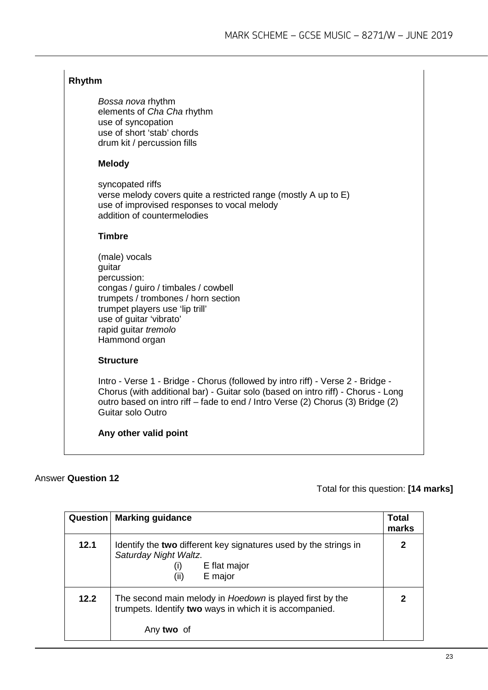#### **Rhythm**

*Bossa nova* rhythm elements of *Cha Cha* rhythm use of syncopation use of short 'stab' chords drum kit / percussion fills

#### **Melody**

syncopated riffs verse melody covers quite a restricted range (mostly A up to E) use of improvised responses to vocal melody addition of countermelodies

#### **Timbre**

| (male) vocals                       |
|-------------------------------------|
| guitar                              |
| percussion:                         |
| congas / guiro / timbales / cowbell |
| trumpets / trombones / horn section |
| trumpet players use 'lip trill'     |
| use of guitar 'vibrato'             |
| rapid guitar tremolo                |
| Hammond organ                       |

#### **Structure**

Intro - Verse 1 - Bridge - Chorus (followed by intro riff) - Verse 2 - Bridge - Chorus (with additional bar) - Guitar solo (based on intro riff) - Chorus - Long outro based on intro riff – fade to end / Intro Verse (2) Chorus (3) Bridge (2) Guitar solo Outro

**Any other valid point**

#### Answer **Question 12**

| Question | <b>Marking guidance</b>                                                                                                             | Total<br>marks |
|----------|-------------------------------------------------------------------------------------------------------------------------------------|----------------|
| 12.1     | Identify the two different key signatures used by the strings in<br>Saturday Night Waltz.<br>E flat major<br>(i)<br>(ii)<br>E major | 2              |
| 12.2     | The second main melody in Hoedown is played first by the<br>trumpets. Identify two ways in which it is accompanied.<br>Any two of   |                |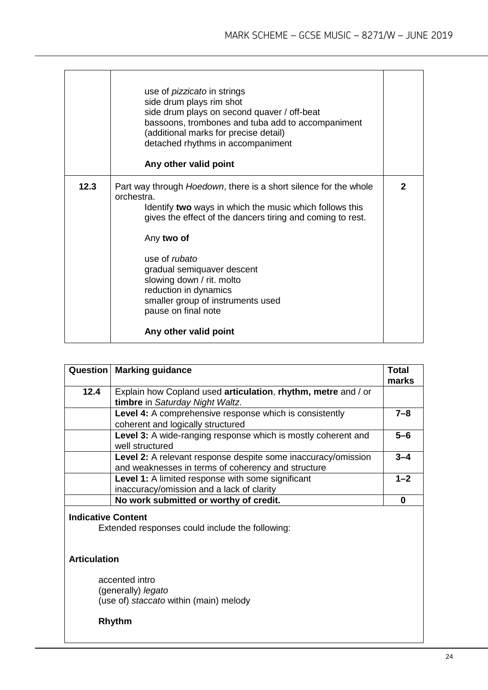|      | use of <i>pizzicato</i> in strings<br>side drum plays rim shot<br>side drum plays on second quaver / off-beat<br>bassoons, trombones and tuba add to accompaniment<br>(additional marks for precise detail)<br>detached rhythms in accompaniment<br>Any other valid point                                                                                                                                                      |              |
|------|--------------------------------------------------------------------------------------------------------------------------------------------------------------------------------------------------------------------------------------------------------------------------------------------------------------------------------------------------------------------------------------------------------------------------------|--------------|
| 12.3 | Part way through <i>Hoedown</i> , there is a short silence for the whole<br>orchestra.<br>Identify two ways in which the music which follows this<br>gives the effect of the dancers tiring and coming to rest.<br>Any two of<br>use of <i>rubato</i><br>gradual semiquaver descent<br>slowing down / rit. molto<br>reduction in dynamics<br>smaller group of instruments used<br>pause on final note<br>Any other valid point | $\mathbf{2}$ |

| Question                                         | <b>Marking guidance</b>                                                                                             | <b>Total</b><br>marks |
|--------------------------------------------------|---------------------------------------------------------------------------------------------------------------------|-----------------------|
| 12.4                                             | Explain how Copland used articulation, rhythm, metre and / or<br>timbre in Saturday Night Waltz.                    |                       |
|                                                  | Level 4: A comprehensive response which is consistently<br>coherent and logically structured                        | $7 - 8$               |
|                                                  | Level 3: A wide-ranging response which is mostly coherent and<br>well structured                                    | $5 - 6$               |
|                                                  | Level 2: A relevant response despite some inaccuracy/omission<br>and weaknesses in terms of coherency and structure | $3 - 4$               |
|                                                  | Level 1: A limited response with some significant<br>inaccuracy/omission and a lack of clarity                      | $1 - 2$               |
|                                                  | No work submitted or worthy of credit.                                                                              | $\bf{0}$              |
| <b>Indicative Content</b><br><b>Articulation</b> | Extended responses could include the following:                                                                     |                       |
|                                                  | accented intro<br>(generally) legato<br>(use of) staccato within (main) melody                                      |                       |
| <b>Rhythm</b>                                    |                                                                                                                     |                       |